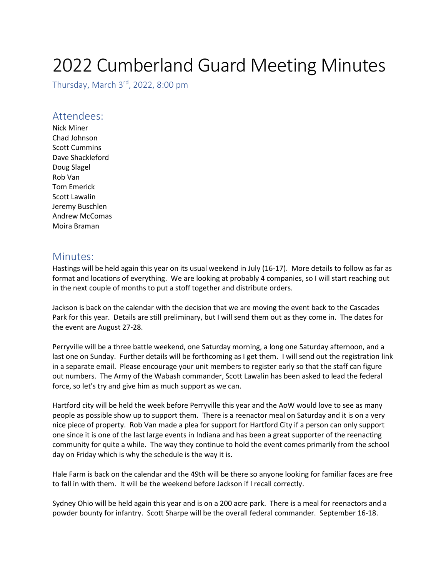## 2022 Cumberland Guard Meeting Minutes

Thursday, March 3rd, 2022, 8:00 pm

## Attendees:

Nick Miner Chad Johnson Scott Cummins Dave Shackleford Doug Slagel Rob Van Tom Emerick Scott Lawalin Jeremy Buschlen Andrew McComas Moira Braman

## Minutes:

Hastings will be held again this year on its usual weekend in July (16-17). More details to follow as far as format and locations of everything. We are looking at probably 4 companies, so I will start reaching out in the next couple of months to put a stoff together and distribute orders.

Jackson is back on the calendar with the decision that we are moving the event back to the Cascades Park for this year. Details are still preliminary, but I will send them out as they come in. The dates for the event are August 27-28.

Perryville will be a three battle weekend, one Saturday morning, a long one Saturday afternoon, and a last one on Sunday. Further details will be forthcoming as I get them. I will send out the registration link in a separate email. Please encourage your unit members to register early so that the staff can figure out numbers. The Army of the Wabash commander, Scott Lawalin has been asked to lead the federal force, so let's try and give him as much support as we can.

Hartford city will be held the week before Perryville this year and the AoW would love to see as many people as possible show up to support them. There is a reenactor meal on Saturday and it is on a very nice piece of property. Rob Van made a plea for support for Hartford City if a person can only support one since it is one of the last large events in Indiana and has been a great supporter of the reenacting community for quite a while. The way they continue to hold the event comes primarily from the school day on Friday which is why the schedule is the way it is.

Hale Farm is back on the calendar and the 49th will be there so anyone looking for familiar faces are free to fall in with them. It will be the weekend before Jackson if I recall correctly.

Sydney Ohio will be held again this year and is on a 200 acre park. There is a meal for reenactors and a powder bounty for infantry. Scott Sharpe will be the overall federal commander. September 16-18.